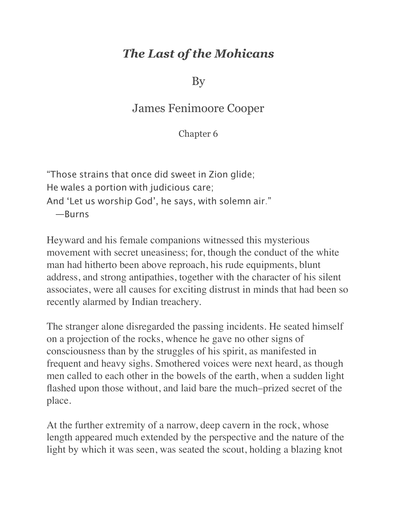## *The Last of the Mohicans*

By

## James Fenimoore Cooper

Chapter 6

"Those strains that once did sweet in Zion glide; He wales a portion with judicious care; And 'Let us worship God', he says, with solemn air." —Burns

Heyward and his female companions witnessed this mysterious movement with secret uneasiness; for, though the conduct of the white man had hitherto been above reproach, his rude equipments, blunt address, and strong antipathies, together with the character of his silent associates, were all causes for exciting distrust in minds that had been so recently alarmed by Indian treachery.

The stranger alone disregarded the passing incidents. He seated himself on a projection of the rocks, whence he gave no other signs of consciousness than by the struggles of his spirit, as manifested in frequent and heavy sighs. Smothered voices were next heard, as though men called to each other in the bowels of the earth, when a sudden light flashed upon those without, and laid bare the much–prized secret of the place.

At the further extremity of a narrow, deep cavern in the rock, whose length appeared much extended by the perspective and the nature of the light by which it was seen, was seated the scout, holding a blazing knot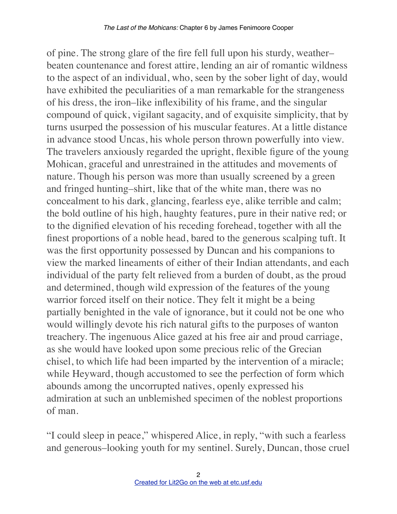of pine. The strong glare of the fire fell full upon his sturdy, weather– beaten countenance and forest attire, lending an air of romantic wildness to the aspect of an individual, who, seen by the sober light of day, would have exhibited the peculiarities of a man remarkable for the strangeness of his dress, the iron–like inflexibility of his frame, and the singular compound of quick, vigilant sagacity, and of exquisite simplicity, that by turns usurped the possession of his muscular features. At a little distance in advance stood Uncas, his whole person thrown powerfully into view. The travelers anxiously regarded the upright, flexible figure of the young Mohican, graceful and unrestrained in the attitudes and movements of nature. Though his person was more than usually screened by a green and fringed hunting–shirt, like that of the white man, there was no concealment to his dark, glancing, fearless eye, alike terrible and calm; the bold outline of his high, haughty features, pure in their native red; or to the dignified elevation of his receding forehead, together with all the finest proportions of a noble head, bared to the generous scalping tuft. It was the first opportunity possessed by Duncan and his companions to view the marked lineaments of either of their Indian attendants, and each individual of the party felt relieved from a burden of doubt, as the proud and determined, though wild expression of the features of the young warrior forced itself on their notice. They felt it might be a being partially benighted in the vale of ignorance, but it could not be one who would willingly devote his rich natural gifts to the purposes of wanton treachery. The ingenuous Alice gazed at his free air and proud carriage, as she would have looked upon some precious relic of the Grecian chisel, to which life had been imparted by the intervention of a miracle; while Heyward, though accustomed to see the perfection of form which abounds among the uncorrupted natives, openly expressed his admiration at such an unblemished specimen of the noblest proportions of man.

"I could sleep in peace," whispered Alice, in reply, "with such a fearless and generous–looking youth for my sentinel. Surely, Duncan, those cruel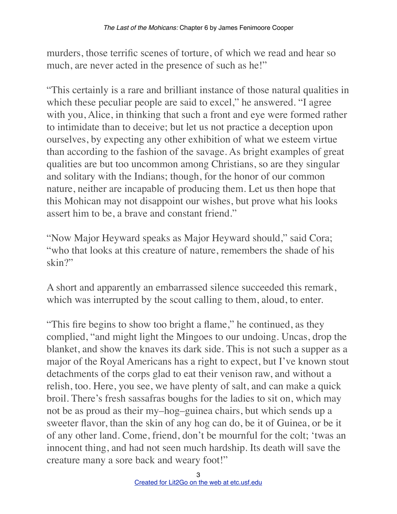murders, those terrific scenes of torture, of which we read and hear so much, are never acted in the presence of such as he!"

"This certainly is a rare and brilliant instance of those natural qualities in which these peculiar people are said to excel," he answered. "I agree with you, Alice, in thinking that such a front and eye were formed rather to intimidate than to deceive; but let us not practice a deception upon ourselves, by expecting any other exhibition of what we esteem virtue than according to the fashion of the savage. As bright examples of great qualities are but too uncommon among Christians, so are they singular and solitary with the Indians; though, for the honor of our common nature, neither are incapable of producing them. Let us then hope that this Mohican may not disappoint our wishes, but prove what his looks assert him to be, a brave and constant friend."

"Now Major Heyward speaks as Major Heyward should," said Cora; "who that looks at this creature of nature, remembers the shade of his skin?"

A short and apparently an embarrassed silence succeeded this remark, which was interrupted by the scout calling to them, aloud, to enter.

"This fire begins to show too bright a flame," he continued, as they complied, "and might light the Mingoes to our undoing. Uncas, drop the blanket, and show the knaves its dark side. This is not such a supper as a major of the Royal Americans has a right to expect, but I've known stout detachments of the corps glad to eat their venison raw, and without a relish, too. Here, you see, we have plenty of salt, and can make a quick broil. There's fresh sassafras boughs for the ladies to sit on, which may not be as proud as their my–hog–guinea chairs, but which sends up a sweeter flavor, than the skin of any hog can do, be it of Guinea, or be it of any other land. Come, friend, don't be mournful for the colt; 'twas an innocent thing, and had not seen much hardship. Its death will save the creature many a sore back and weary foot!"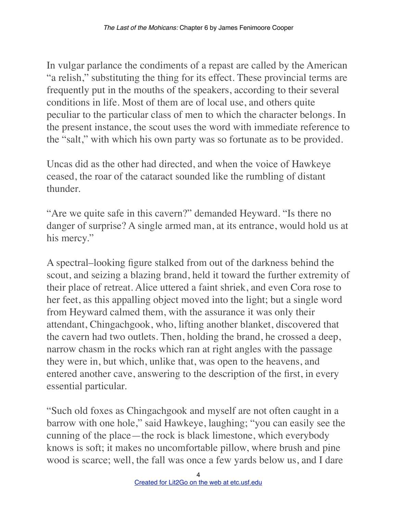In vulgar parlance the condiments of a repast are called by the American "a relish," substituting the thing for its effect. These provincial terms are frequently put in the mouths of the speakers, according to their several conditions in life. Most of them are of local use, and others quite peculiar to the particular class of men to which the character belongs. In the present instance, the scout uses the word with immediate reference to the "salt," with which his own party was so fortunate as to be provided.

Uncas did as the other had directed, and when the voice of Hawkeye ceased, the roar of the cataract sounded like the rumbling of distant thunder.

"Are we quite safe in this cavern?" demanded Heyward. "Is there no danger of surprise? A single armed man, at its entrance, would hold us at his mercy."

A spectral–looking figure stalked from out of the darkness behind the scout, and seizing a blazing brand, held it toward the further extremity of their place of retreat. Alice uttered a faint shriek, and even Cora rose to her feet, as this appalling object moved into the light; but a single word from Heyward calmed them, with the assurance it was only their attendant, Chingachgook, who, lifting another blanket, discovered that the cavern had two outlets. Then, holding the brand, he crossed a deep, narrow chasm in the rocks which ran at right angles with the passage they were in, but which, unlike that, was open to the heavens, and entered another cave, answering to the description of the first, in every essential particular.

"Such old foxes as Chingachgook and myself are not often caught in a barrow with one hole," said Hawkeye, laughing; "you can easily see the cunning of the place—the rock is black limestone, which everybody knows is soft; it makes no uncomfortable pillow, where brush and pine wood is scarce; well, the fall was once a few yards below us, and I dare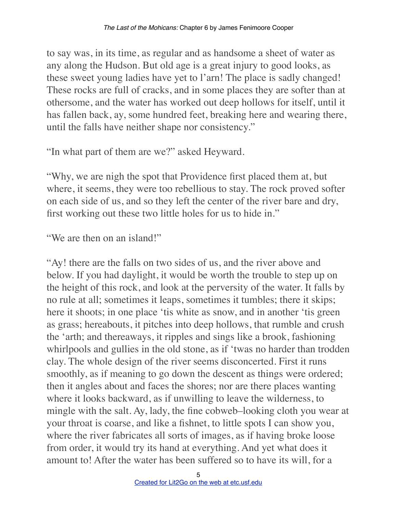to say was, in its time, as regular and as handsome a sheet of water as any along the Hudson. But old age is a great injury to good looks, as these sweet young ladies have yet to l'arn! The place is sadly changed! These rocks are full of cracks, and in some places they are softer than at othersome, and the water has worked out deep hollows for itself, until it has fallen back, ay, some hundred feet, breaking here and wearing there, until the falls have neither shape nor consistency."

"In what part of them are we?" asked Heyward.

"Why, we are nigh the spot that Providence first placed them at, but where, it seems, they were too rebellious to stay. The rock proved softer on each side of us, and so they left the center of the river bare and dry, first working out these two little holes for us to hide in."

"We are then on an island!"

"Ay! there are the falls on two sides of us, and the river above and below. If you had daylight, it would be worth the trouble to step up on the height of this rock, and look at the perversity of the water. It falls by no rule at all; sometimes it leaps, sometimes it tumbles; there it skips; here it shoots; in one place 'tis white as snow, and in another 'tis green as grass; hereabouts, it pitches into deep hollows, that rumble and crush the 'arth; and thereaways, it ripples and sings like a brook, fashioning whirlpools and gullies in the old stone, as if 'twas no harder than trodden clay. The whole design of the river seems disconcerted. First it runs smoothly, as if meaning to go down the descent as things were ordered; then it angles about and faces the shores; nor are there places wanting where it looks backward, as if unwilling to leave the wilderness, to mingle with the salt. Ay, lady, the fine cobweb–looking cloth you wear at your throat is coarse, and like a fishnet, to little spots I can show you, where the river fabricates all sorts of images, as if having broke loose from order, it would try its hand at everything. And yet what does it amount to! After the water has been suffered so to have its will, for a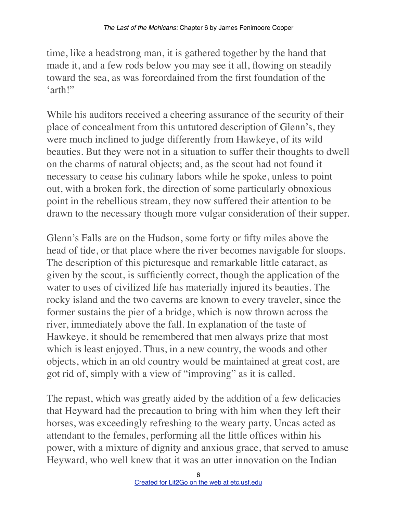time, like a headstrong man, it is gathered together by the hand that made it, and a few rods below you may see it all, flowing on steadily toward the sea, as was foreordained from the first foundation of the 'arth!"

While his auditors received a cheering assurance of the security of their place of concealment from this untutored description of Glenn's, they were much inclined to judge differently from Hawkeye, of its wild beauties. But they were not in a situation to suffer their thoughts to dwell on the charms of natural objects; and, as the scout had not found it necessary to cease his culinary labors while he spoke, unless to point out, with a broken fork, the direction of some particularly obnoxious point in the rebellious stream, they now suffered their attention to be drawn to the necessary though more vulgar consideration of their supper.

Glenn's Falls are on the Hudson, some forty or fifty miles above the head of tide, or that place where the river becomes navigable for sloops. The description of this picturesque and remarkable little cataract, as given by the scout, is sufficiently correct, though the application of the water to uses of civilized life has materially injured its beauties. The rocky island and the two caverns are known to every traveler, since the former sustains the pier of a bridge, which is now thrown across the river, immediately above the fall. In explanation of the taste of Hawkeye, it should be remembered that men always prize that most which is least enjoyed. Thus, in a new country, the woods and other objects, which in an old country would be maintained at great cost, are got rid of, simply with a view of "improving" as it is called.

The repast, which was greatly aided by the addition of a few delicacies that Heyward had the precaution to bring with him when they left their horses, was exceedingly refreshing to the weary party. Uncas acted as attendant to the females, performing all the little offices within his power, with a mixture of dignity and anxious grace, that served to amuse Heyward, who well knew that it was an utter innovation on the Indian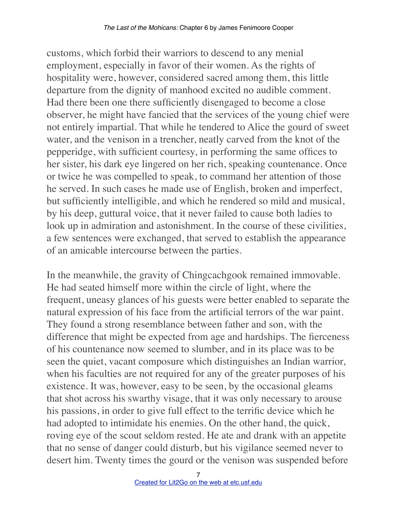customs, which forbid their warriors to descend to any menial employment, especially in favor of their women. As the rights of hospitality were, however, considered sacred among them, this little departure from the dignity of manhood excited no audible comment. Had there been one there sufficiently disengaged to become a close observer, he might have fancied that the services of the young chief were not entirely impartial. That while he tendered to Alice the gourd of sweet water, and the venison in a trencher, neatly carved from the knot of the pepperidge, with sufficient courtesy, in performing the same offices to her sister, his dark eye lingered on her rich, speaking countenance. Once or twice he was compelled to speak, to command her attention of those he served. In such cases he made use of English, broken and imperfect, but sufficiently intelligible, and which he rendered so mild and musical, by his deep, guttural voice, that it never failed to cause both ladies to look up in admiration and astonishment. In the course of these civilities, a few sentences were exchanged, that served to establish the appearance of an amicable intercourse between the parties.

In the meanwhile, the gravity of Chingcachgook remained immovable. He had seated himself more within the circle of light, where the frequent, uneasy glances of his guests were better enabled to separate the natural expression of his face from the artificial terrors of the war paint. They found a strong resemblance between father and son, with the difference that might be expected from age and hardships. The fierceness of his countenance now seemed to slumber, and in its place was to be seen the quiet, vacant composure which distinguishes an Indian warrior, when his faculties are not required for any of the greater purposes of his existence. It was, however, easy to be seen, by the occasional gleams that shot across his swarthy visage, that it was only necessary to arouse his passions, in order to give full effect to the terrific device which he had adopted to intimidate his enemies. On the other hand, the quick, roving eye of the scout seldom rested. He ate and drank with an appetite that no sense of danger could disturb, but his vigilance seemed never to desert him. Twenty times the gourd or the venison was suspended before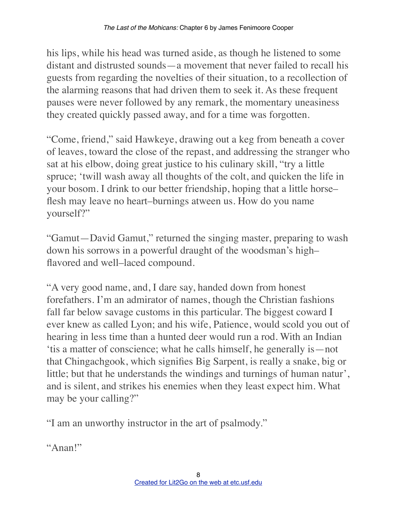his lips, while his head was turned aside, as though he listened to some distant and distrusted sounds—a movement that never failed to recall his guests from regarding the novelties of their situation, to a recollection of the alarming reasons that had driven them to seek it. As these frequent pauses were never followed by any remark, the momentary uneasiness they created quickly passed away, and for a time was forgotten.

"Come, friend," said Hawkeye, drawing out a keg from beneath a cover of leaves, toward the close of the repast, and addressing the stranger who sat at his elbow, doing great justice to his culinary skill, "try a little spruce; 'twill wash away all thoughts of the colt, and quicken the life in your bosom. I drink to our better friendship, hoping that a little horse– flesh may leave no heart–burnings atween us. How do you name yourself?"

"Gamut—David Gamut," returned the singing master, preparing to wash down his sorrows in a powerful draught of the woodsman's high– flavored and well–laced compound.

"A very good name, and, I dare say, handed down from honest forefathers. I'm an admirator of names, though the Christian fashions fall far below savage customs in this particular. The biggest coward I ever knew as called Lyon; and his wife, Patience, would scold you out of hearing in less time than a hunted deer would run a rod. With an Indian 'tis a matter of conscience; what he calls himself, he generally is—not that Chingachgook, which signifies Big Sarpent, is really a snake, big or little; but that he understands the windings and turnings of human natur', and is silent, and strikes his enemies when they least expect him. What may be your calling?"

"I am an unworthy instructor in the art of psalmody."

"Anan!"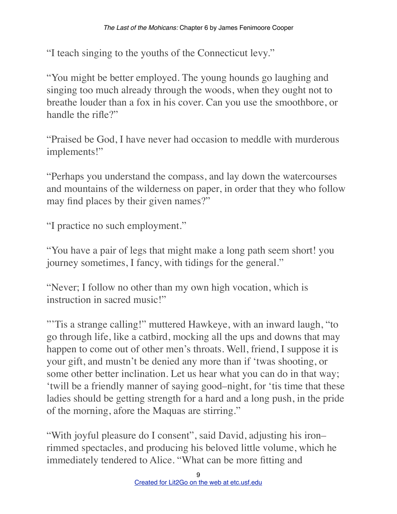"I teach singing to the youths of the Connecticut levy."

"You might be better employed. The young hounds go laughing and singing too much already through the woods, when they ought not to breathe louder than a fox in his cover. Can you use the smoothbore, or handle the rifle?"

"Praised be God, I have never had occasion to meddle with murderous implements!"

"Perhaps you understand the compass, and lay down the watercourses and mountains of the wilderness on paper, in order that they who follow may find places by their given names?"

"I practice no such employment."

"You have a pair of legs that might make a long path seem short! you journey sometimes, I fancy, with tidings for the general."

"Never; I follow no other than my own high vocation, which is instruction in sacred music!"

"'Tis a strange calling!" muttered Hawkeye, with an inward laugh, "to go through life, like a catbird, mocking all the ups and downs that may happen to come out of other men's throats. Well, friend, I suppose it is your gift, and mustn't be denied any more than if 'twas shooting, or some other better inclination. Let us hear what you can do in that way; 'twill be a friendly manner of saying good–night, for 'tis time that these ladies should be getting strength for a hard and a long push, in the pride of the morning, afore the Maquas are stirring."

"With joyful pleasure do I consent", said David, adjusting his iron– rimmed spectacles, and producing his beloved little volume, which he immediately tendered to Alice. "What can be more fitting and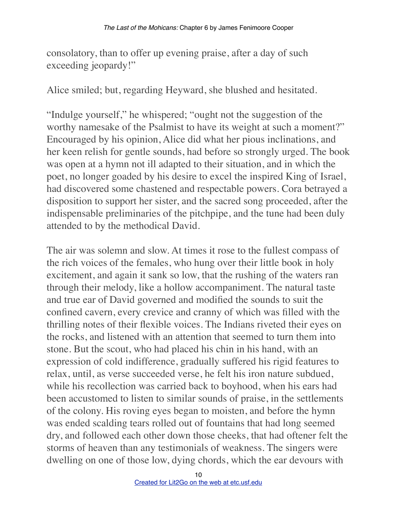consolatory, than to offer up evening praise, after a day of such exceeding jeopardy!"

Alice smiled; but, regarding Heyward, she blushed and hesitated.

"Indulge yourself," he whispered; "ought not the suggestion of the worthy namesake of the Psalmist to have its weight at such a moment?" Encouraged by his opinion, Alice did what her pious inclinations, and her keen relish for gentle sounds, had before so strongly urged. The book was open at a hymn not ill adapted to their situation, and in which the poet, no longer goaded by his desire to excel the inspired King of Israel, had discovered some chastened and respectable powers. Cora betrayed a disposition to support her sister, and the sacred song proceeded, after the indispensable preliminaries of the pitchpipe, and the tune had been duly attended to by the methodical David.

The air was solemn and slow. At times it rose to the fullest compass of the rich voices of the females, who hung over their little book in holy excitement, and again it sank so low, that the rushing of the waters ran through their melody, like a hollow accompaniment. The natural taste and true ear of David governed and modified the sounds to suit the confined cavern, every crevice and cranny of which was filled with the thrilling notes of their flexible voices. The Indians riveted their eyes on the rocks, and listened with an attention that seemed to turn them into stone. But the scout, who had placed his chin in his hand, with an expression of cold indifference, gradually suffered his rigid features to relax, until, as verse succeeded verse, he felt his iron nature subdued, while his recollection was carried back to boyhood, when his ears had been accustomed to listen to similar sounds of praise, in the settlements of the colony. His roving eyes began to moisten, and before the hymn was ended scalding tears rolled out of fountains that had long seemed dry, and followed each other down those cheeks, that had oftener felt the storms of heaven than any testimonials of weakness. The singers were dwelling on one of those low, dying chords, which the ear devours with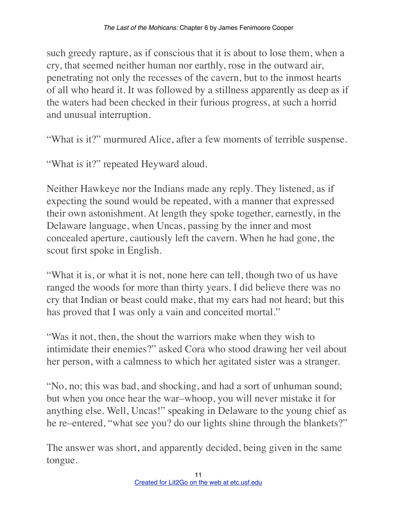such greedy rapture, as if conscious that it is about to lose them, when a cry, that seemed neither human nor earthly, rose in the outward air, penetrating not only the recesses of the cavern, but to the inmost hearts of all who heard it. It was followed by a stillness apparently as deep as if the waters had been checked in their furious progress, at such a horrid and unusual interruption.

"What is it?" murmured Alice, after a few moments of terrible suspense.

"What is it?" repeated Heyward aloud.

Neither Hawkeye nor the Indians made any reply. They listened, as if expecting the sound would be repeated, with a manner that expressed their own astonishment. At length they spoke together, earnestly, in the Delaware language, when Uncas, passing by the inner and most concealed aperture, cautiously left the cavern. When he had gone, the scout first spoke in English.

"What it is, or what it is not, none here can tell, though two of us have ranged the woods for more than thirty years. I did believe there was no cry that Indian or beast could make, that my ears had not heard; but this has proved that I was only a vain and conceited mortal."

"Was it not, then, the shout the warriors make when they wish to intimidate their enemies?" asked Cora who stood drawing her veil about her person, with a calmness to which her agitated sister was a stranger.

"No, no; this was bad, and shocking, and had a sort of unhuman sound; but when you once hear the war–whoop, you will never mistake it for anything else. Well, Uncas!" speaking in Delaware to the young chief as he re–entered, "what see you? do our lights shine through the blankets?"

The answer was short, and apparently decided, being given in the same tongue.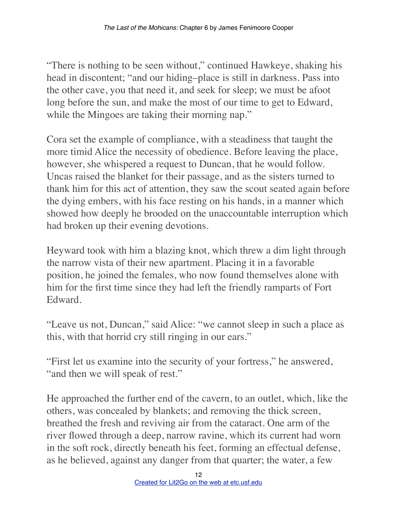"There is nothing to be seen without," continued Hawkeye, shaking his head in discontent; "and our hiding–place is still in darkness. Pass into the other cave, you that need it, and seek for sleep; we must be afoot long before the sun, and make the most of our time to get to Edward, while the Mingoes are taking their morning nap."

Cora set the example of compliance, with a steadiness that taught the more timid Alice the necessity of obedience. Before leaving the place, however, she whispered a request to Duncan, that he would follow. Uncas raised the blanket for their passage, and as the sisters turned to thank him for this act of attention, they saw the scout seated again before the dying embers, with his face resting on his hands, in a manner which showed how deeply he brooded on the unaccountable interruption which had broken up their evening devotions.

Heyward took with him a blazing knot, which threw a dim light through the narrow vista of their new apartment. Placing it in a favorable position, he joined the females, who now found themselves alone with him for the first time since they had left the friendly ramparts of Fort Edward.

"Leave us not, Duncan," said Alice: "we cannot sleep in such a place as this, with that horrid cry still ringing in our ears."

"First let us examine into the security of your fortress," he answered, "and then we will speak of rest."

He approached the further end of the cavern, to an outlet, which, like the others, was concealed by blankets; and removing the thick screen, breathed the fresh and reviving air from the cataract. One arm of the river flowed through a deep, narrow ravine, which its current had worn in the soft rock, directly beneath his feet, forming an effectual defense, as he believed, against any danger from that quarter; the water, a few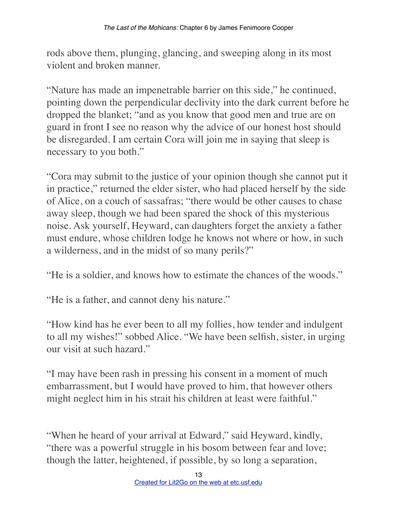rods above them, plunging, glancing, and sweeping along in its most violent and broken manner.

"Nature has made an impenetrable barrier on this side," he continued, pointing down the perpendicular declivity into the dark current before he dropped the blanket; "and as you know that good men and true are on guard in front I see no reason why the advice of our honest host should be disregarded. I am certain Cora will join me in saying that sleep is necessary to you both."

"Cora may submit to the justice of your opinion though she cannot put it in practice," returned the elder sister, who had placed herself by the side of Alice, on a couch of sassafras; "there would be other causes to chase away sleep, though we had been spared the shock of this mysterious noise. Ask yourself, Heyward, can daughters forget the anxiety a father must endure, whose children lodge he knows not where or how, in such a wilderness, and in the midst of so many perils?"

"He is a soldier, and knows how to estimate the chances of the woods."

"He is a father, and cannot deny his nature."

"How kind has he ever been to all my follies, how tender and indulgent to all my wishes!" sobbed Alice. "We have been selfish, sister, in urging our visit at such hazard."

"I may have been rash in pressing his consent in a moment of much embarrassment, but I would have proved to him, that however others might neglect him in his strait his children at least were faithful."

"When he heard of your arrival at Edward," said Heyward, kindly, "there was a powerful struggle in his bosom between fear and love; though the latter, heightened, if possible, by so long a separation,